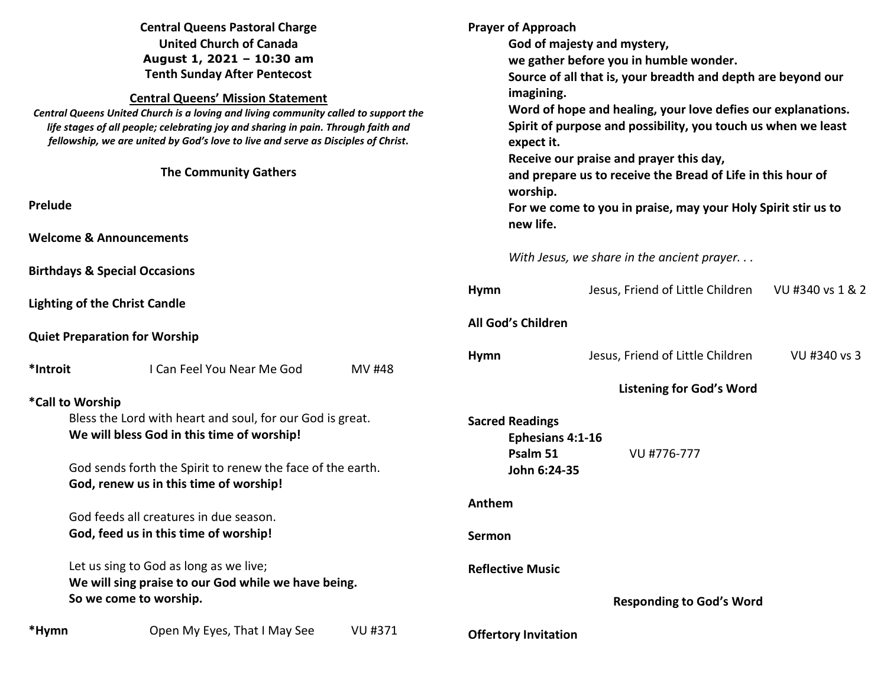| <b>Central Queens Pastoral Charge</b><br><b>United Church of Canada</b><br>August 1, 2021 - 10:30 am<br><b>Tenth Sunday After Pentecost</b><br><b>Central Queens' Mission Statement</b><br>Central Queens United Church is a loving and living community called to support the<br>life stages of all people; celebrating joy and sharing in pain. Through faith and<br>fellowship, we are united by God's love to live and serve as Disciples of Christ.<br><b>The Community Gathers</b> |                                          |                                                            | <b>Prayer of Approach</b><br>God of majesty and mystery,<br>we gather before you in humble wonder.<br>Source of all that is, your breadth and depth are beyond our<br>imagining.<br>Word of hope and healing, your love defies our explanations.<br>Spirit of purpose and possibility, you touch us when we least<br>expect it.<br>Receive our praise and prayer this day,<br>and prepare us to receive the Bread of Life in this hour of<br>worship. |                                            |                  |
|------------------------------------------------------------------------------------------------------------------------------------------------------------------------------------------------------------------------------------------------------------------------------------------------------------------------------------------------------------------------------------------------------------------------------------------------------------------------------------------|------------------------------------------|------------------------------------------------------------|-------------------------------------------------------------------------------------------------------------------------------------------------------------------------------------------------------------------------------------------------------------------------------------------------------------------------------------------------------------------------------------------------------------------------------------------------------|--------------------------------------------|------------------|
| Prelude                                                                                                                                                                                                                                                                                                                                                                                                                                                                                  |                                          |                                                            | For we come to you in praise, may your Holy Spirit stir us to<br>new life.                                                                                                                                                                                                                                                                                                                                                                            |                                            |                  |
|                                                                                                                                                                                                                                                                                                                                                                                                                                                                                          | <b>Welcome &amp; Announcements</b>       |                                                            |                                                                                                                                                                                                                                                                                                                                                                                                                                                       |                                            |                  |
|                                                                                                                                                                                                                                                                                                                                                                                                                                                                                          | <b>Birthdays &amp; Special Occasions</b> |                                                            |                                                                                                                                                                                                                                                                                                                                                                                                                                                       | With Jesus, we share in the ancient prayer |                  |
| <b>Lighting of the Christ Candle</b><br><b>Quiet Preparation for Worship</b>                                                                                                                                                                                                                                                                                                                                                                                                             |                                          |                                                            | <b>Hymn</b>                                                                                                                                                                                                                                                                                                                                                                                                                                           | Jesus, Friend of Little Children           | VU #340 vs 1 & 2 |
|                                                                                                                                                                                                                                                                                                                                                                                                                                                                                          |                                          |                                                            | All God's Children                                                                                                                                                                                                                                                                                                                                                                                                                                    |                                            |                  |
| *Introit                                                                                                                                                                                                                                                                                                                                                                                                                                                                                 | I Can Feel You Near Me God               | <b>MV#48</b>                                               | <b>Hymn</b>                                                                                                                                                                                                                                                                                                                                                                                                                                           | Jesus, Friend of Little Children           | VU #340 vs 3     |
| *Call to Worship                                                                                                                                                                                                                                                                                                                                                                                                                                                                         |                                          |                                                            |                                                                                                                                                                                                                                                                                                                                                                                                                                                       | <b>Listening for God's Word</b>            |                  |
| Bless the Lord with heart and soul, for our God is great.<br>We will bless God in this time of worship!<br>God sends forth the Spirit to renew the face of the earth.                                                                                                                                                                                                                                                                                                                    |                                          |                                                            | <b>Sacred Readings</b><br>Ephesians 4:1-16<br>Psalm 51<br>VU #776-777<br>John 6:24-35                                                                                                                                                                                                                                                                                                                                                                 |                                            |                  |
|                                                                                                                                                                                                                                                                                                                                                                                                                                                                                          | God, renew us in this time of worship!   |                                                            | Anthem                                                                                                                                                                                                                                                                                                                                                                                                                                                |                                            |                  |
| God feeds all creatures in due season.<br>God, feed us in this time of worship!                                                                                                                                                                                                                                                                                                                                                                                                          |                                          |                                                            |                                                                                                                                                                                                                                                                                                                                                                                                                                                       |                                            |                  |
|                                                                                                                                                                                                                                                                                                                                                                                                                                                                                          |                                          |                                                            | Sermon                                                                                                                                                                                                                                                                                                                                                                                                                                                |                                            |                  |
| Let us sing to God as long as we live;<br>We will sing praise to our God while we have being.<br>So we come to worship.                                                                                                                                                                                                                                                                                                                                                                  |                                          | <b>Reflective Music</b><br><b>Responding to God's Word</b> |                                                                                                                                                                                                                                                                                                                                                                                                                                                       |                                            |                  |
| *Hymn                                                                                                                                                                                                                                                                                                                                                                                                                                                                                    | Open My Eyes, That I May See             | VU #371                                                    | <b>Offertory Invitation</b>                                                                                                                                                                                                                                                                                                                                                                                                                           |                                            |                  |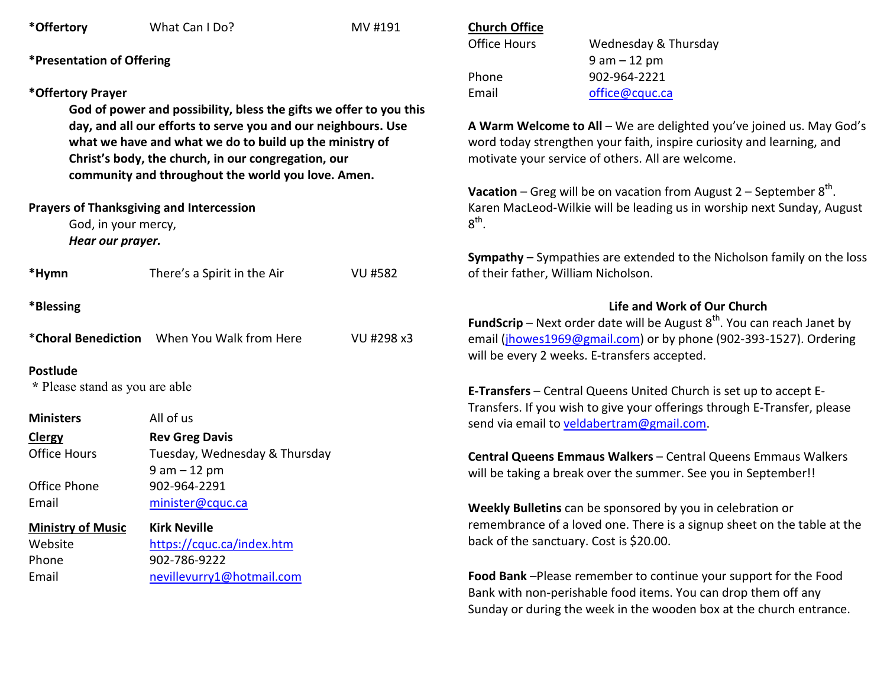| *Offertory                                                        | What Can I Do?                                                     | MV #191                                                                 | <b>Church Office</b>                                                                                                                                                                          |                                                                                     |  |
|-------------------------------------------------------------------|--------------------------------------------------------------------|-------------------------------------------------------------------------|-----------------------------------------------------------------------------------------------------------------------------------------------------------------------------------------------|-------------------------------------------------------------------------------------|--|
|                                                                   |                                                                    |                                                                         | <b>Office Hours</b>                                                                                                                                                                           | Wednesday & Thursday                                                                |  |
| <i><b>*Presentation of Offering</b></i>                           |                                                                    |                                                                         |                                                                                                                                                                                               | $9 am - 12 pm$                                                                      |  |
|                                                                   |                                                                    |                                                                         | Phone                                                                                                                                                                                         | 902-964-2221                                                                        |  |
| *Offertory Prayer                                                 |                                                                    |                                                                         | Email                                                                                                                                                                                         | office@cquc.ca                                                                      |  |
|                                                                   | God of power and possibility, bless the gifts we offer to you this |                                                                         |                                                                                                                                                                                               |                                                                                     |  |
|                                                                   | day, and all our efforts to serve you and our neighbours. Use      |                                                                         | A Warm Welcome to All - We are delighted you've joined us. May God's<br>word today strengthen your faith, inspire curiosity and learning, and                                                 |                                                                                     |  |
|                                                                   | what we have and what we do to build up the ministry of            |                                                                         |                                                                                                                                                                                               |                                                                                     |  |
|                                                                   | Christ's body, the church, in our congregation, our                |                                                                         | motivate your service of others. All are welcome.                                                                                                                                             |                                                                                     |  |
|                                                                   | community and throughout the world you love. Amen.                 |                                                                         |                                                                                                                                                                                               |                                                                                     |  |
|                                                                   |                                                                    |                                                                         | <b>Vacation</b> – Greg will be on vacation from August $2$ – September $8th$ .<br>Karen MacLeod-Wilkie will be leading us in worship next Sunday, August                                      |                                                                                     |  |
|                                                                   | <b>Prayers of Thanksgiving and Intercession</b>                    |                                                                         | $8^{\text{th}}$ .                                                                                                                                                                             |                                                                                     |  |
| God, in your mercy,<br>Hear our prayer.                           |                                                                    |                                                                         |                                                                                                                                                                                               |                                                                                     |  |
|                                                                   |                                                                    |                                                                         |                                                                                                                                                                                               | <b>Sympathy</b> – Sympathies are extended to the Nicholson family on the loss       |  |
| *Hymn                                                             | There's a Spirit in the Air                                        | <b>VU #582</b>                                                          | of their father, William Nicholson.                                                                                                                                                           |                                                                                     |  |
| *Blessing                                                         |                                                                    |                                                                         |                                                                                                                                                                                               | Life and Work of Our Church                                                         |  |
|                                                                   |                                                                    |                                                                         |                                                                                                                                                                                               | <b>FundScrip</b> – Next order date will be August $8^{th}$ . You can reach Janet by |  |
| <i>*</i> Choral Benediction When You Walk from Here<br>VU #298 x3 |                                                                    |                                                                         | email (jhowes1969@gmail.com) or by phone (902-393-1527). Ordering                                                                                                                             |                                                                                     |  |
|                                                                   |                                                                    |                                                                         |                                                                                                                                                                                               | will be every 2 weeks. E-transfers accepted.                                        |  |
| <b>Postlude</b>                                                   |                                                                    |                                                                         |                                                                                                                                                                                               |                                                                                     |  |
| * Please stand as you are able                                    |                                                                    |                                                                         | E-Transfers - Central Queens United Church is set up to accept E-                                                                                                                             |                                                                                     |  |
| <b>Ministers</b>                                                  | All of us                                                          |                                                                         |                                                                                                                                                                                               | Transfers. If you wish to give your offerings through E-Transfer, please            |  |
| <b>Clergy</b>                                                     | <b>Rev Greg Davis</b>                                              |                                                                         |                                                                                                                                                                                               | send via email to veldabertram@gmail.com.                                           |  |
| <b>Office Hours</b>                                               | Tuesday, Wednesday & Thursday                                      |                                                                         |                                                                                                                                                                                               |                                                                                     |  |
|                                                                   | $9 am - 12 pm$<br>902-964-2291<br>minister@cquc.ca                 |                                                                         | Central Queens Emmaus Walkers - Central Queens Emmaus Walkers<br>will be taking a break over the summer. See you in September!!<br>Weekly Bulletins can be sponsored by you in celebration or |                                                                                     |  |
| Office Phone                                                      |                                                                    |                                                                         |                                                                                                                                                                                               |                                                                                     |  |
| Email                                                             |                                                                    |                                                                         |                                                                                                                                                                                               |                                                                                     |  |
| <b>Ministry of Music</b><br><b>Kirk Neville</b>                   |                                                                    | remembrance of a loved one. There is a signup sheet on the table at the |                                                                                                                                                                                               |                                                                                     |  |
| https://cquc.ca/index.htm<br>Website                              |                                                                    | back of the sanctuary. Cost is \$20.00.                                 |                                                                                                                                                                                               |                                                                                     |  |
| Phone                                                             | 902-786-9222                                                       |                                                                         |                                                                                                                                                                                               |                                                                                     |  |
| Email                                                             | nevillevurry1@hotmail.com                                          |                                                                         |                                                                                                                                                                                               | Food Bank-Please remember to continue your support for the Food                     |  |
|                                                                   |                                                                    |                                                                         |                                                                                                                                                                                               | Bank with non-perishable food items. You can drop them off any                      |  |
|                                                                   |                                                                    |                                                                         |                                                                                                                                                                                               | Sunday or during the week in the wooden box at the church entrance.                 |  |